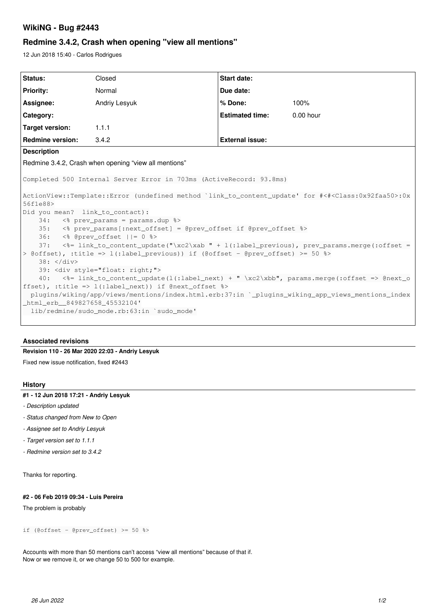# **WikiNG - Bug #2443**

# **Redmine 3.4.2, Crash when opening "view all mentions"**

12 Jun 2018 15:40 - Carlos Rodrigues

| Status:                                                                                                                                                                                                                                                                                                                                                                                                                                                                                                                                                                                                                                                                                              | Closed        | Start date:            |             |
|------------------------------------------------------------------------------------------------------------------------------------------------------------------------------------------------------------------------------------------------------------------------------------------------------------------------------------------------------------------------------------------------------------------------------------------------------------------------------------------------------------------------------------------------------------------------------------------------------------------------------------------------------------------------------------------------------|---------------|------------------------|-------------|
| <b>Priority:</b>                                                                                                                                                                                                                                                                                                                                                                                                                                                                                                                                                                                                                                                                                     | Normal        | Due date:              |             |
| Assignee:                                                                                                                                                                                                                                                                                                                                                                                                                                                                                                                                                                                                                                                                                            | Andriy Lesyuk | % Done:                | 100%        |
| Category:                                                                                                                                                                                                                                                                                                                                                                                                                                                                                                                                                                                                                                                                                            |               | <b>Estimated time:</b> | $0.00$ hour |
| <b>Target version:</b>                                                                                                                                                                                                                                                                                                                                                                                                                                                                                                                                                                                                                                                                               | 1.1.1         |                        |             |
| <b>Redmine version:</b>                                                                                                                                                                                                                                                                                                                                                                                                                                                                                                                                                                                                                                                                              | 3.4.2         | <b>External issue:</b> |             |
| <b>Description</b>                                                                                                                                                                                                                                                                                                                                                                                                                                                                                                                                                                                                                                                                                   |               |                        |             |
| Redmine 3.4.2, Crash when opening "view all mentions"                                                                                                                                                                                                                                                                                                                                                                                                                                                                                                                                                                                                                                                |               |                        |             |
| Completed 500 Internal Server Error in 703ms (ActiveRecord: 93.8ms)<br>ActionView::Template::Error (undefined method `link_to_content_update' for #<# <class:0x92faa50>:0x<br/>56f1e88&gt;<br/>Did you mean? link_to_contact):<br/>&lt;% prev_params = params.dup %&gt;<br/>34:<br/>35: &lt;% prev_params[:next_offset] = @prev_offset if @prev_offset %&gt;<br/><math>36:</math> &lt;% @prev_offset <math>  = 0</math> %&gt;<br/>&lt;%= link_to_content_update("\xc2\xab " + l(:label_previous), prev_params.merge(:offset =<br/>37:<br/>&gt; @offset), :title =&gt; l(:label_previous)) if (@offset - @prev_offset) &gt;= 50 %&gt;<br/><math>38: \frac{\angle}{{\rm div}}</math></class:0x92faa50> |               |                        |             |
| 39: <div style="float: right;"><br/><math>\langle \</math>= link_to_content_update(l(:label_next) + " \xc2\xbb", params.merge(:offset =&gt; @next_o<br/>40:<br/>ffset), :title =&gt; <math>l</math>(:label_next)) if @next_offset <math>\rightarrow</math><br/>plugins/wiking/app/views/mentions/index.html.erb:37:in `_plugins_wiking_app_views_mentions_index<br/>html_erb_849827658_45532104'<br/>lib/redmine/sudo mode.rb:63:in `sudo mode'</div>                                                                                                                                                                                                                                                |               |                        |             |

### **Associated revisions**

# **Revision 110 - 26 Mar 2020 22:03 - Andriy Lesyuk**

Fixed new issue notification, fixed #2443

### **History**

### **#1 - 12 Jun 2018 17:21 - Andriy Lesyuk**

- *Description updated*
- *Status changed from New to Open*
- *Assignee set to Andriy Lesyuk*
- *Target version set to 1.1.1*
- *Redmine version set to 3.4.2*

Thanks for reporting.

#### **#2 - 06 Feb 2019 09:34 - Luis Pereira**

The problem is probably

if (@offset - @prev\_offset) >=  $50$  %>

Accounts with more than 50 mentions can't access "view all mentions" because of that if. Now or we remove it, or we change 50 to 500 for example.